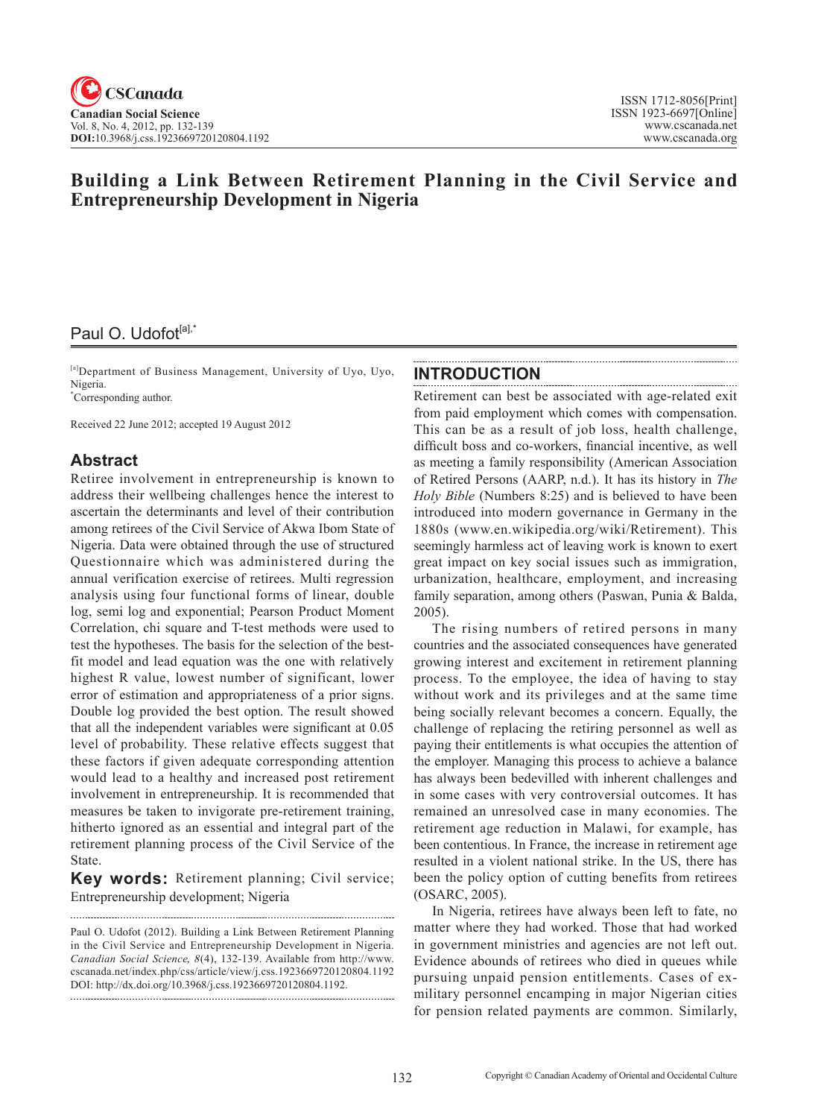# **Building a Link Between Retirement Planning in the Civil Service and Entrepreneurship Development in Nigeria**

# Paul O. Udofot<sup>[a],\*</sup>

[a]Department of Business Management, University of Uyo, Uyo, Nigeria. \* Corresponding author.

Received 22 June 2012; accepted 19 August 2012

## **Abstract**

Retiree involvement in entrepreneurship is known to address their wellbeing challenges hence the interest to ascertain the determinants and level of their contribution among retirees of the Civil Service of Akwa Ibom State of Nigeria. Data were obtained through the use of structured Questionnaire which was administered during the annual verification exercise of retirees. Multi regression analysis using four functional forms of linear, double log, semi log and exponential; Pearson Product Moment Correlation, chi square and T-test methods were used to test the hypotheses. The basis for the selection of the bestfit model and lead equation was the one with relatively highest R value, lowest number of significant, lower error of estimation and appropriateness of a prior signs. Double log provided the best option. The result showed that all the independent variables were significant at 0.05 level of probability. These relative effects suggest that these factors if given adequate corresponding attention would lead to a healthy and increased post retirement involvement in entrepreneurship. It is recommended that measures be taken to invigorate pre-retirement training, hitherto ignored as an essential and integral part of the retirement planning process of the Civil Service of the State.

**Key words:** Retirement planning; Civil service; Entrepreneurship development; Nigeria

Paul O. Udofot (2012). Building a Link Between Retirement Planning in the Civil Service and Entrepreneurship Development in Nigeria. *Canadian Social Science*, <sup>8</sup>(4), 132-139. Available from http://www. cscanada.net/index.php/css/article/view/j.css.1923669720120804.1192 DOI: http://dx.doi.org/10.3968/j.css.1923669720120804.1192. 

## **INTRODUCTION**

Retirement can best be associated with age-related exit from paid employment which comes with compensation. This can be as a result of job loss, health challenge, difficult boss and co-workers, financial incentive, as well as meeting a family responsibility (American Association of Retired Persons (AARP, n.d.). It has its history in *The Holy Bible* (Numbers 8:25) and is believed to have been introduced into modern governance in Germany in the 1880s (www.en.wikipedia.org/wiki/Retirement). This seemingly harmless act of leaving work is known to exert great impact on key social issues such as immigration, urbanization, healthcare, employment, and increasing family separation, among others (Paswan, Punia & Balda, 2005).

The rising numbers of retired persons in many countries and the associated consequences have generated growing interest and excitement in retirement planning process. To the employee, the idea of having to stay without work and its privileges and at the same time being socially relevant becomes a concern. Equally, the challenge of replacing the retiring personnel as well as paying their entitlements is what occupies the attention of the employer. Managing this process to achieve a balance has always been bedevilled with inherent challenges and in some cases with very controversial outcomes. It has remained an unresolved case in many economies. The retirement age reduction in Malawi, for example, has been contentious. In France, the increase in retirement age resulted in a violent national strike. In the US, there has been the policy option of cutting benefits from retirees (OSARC, 2005).

In Nigeria, retirees have always been left to fate, no matter where they had worked. Those that had worked in government ministries and agencies are not left out. Evidence abounds of retirees who died in queues while pursuing unpaid pension entitlements. Cases of exmilitary personnel encamping in major Nigerian cities for pension related payments are common. Similarly,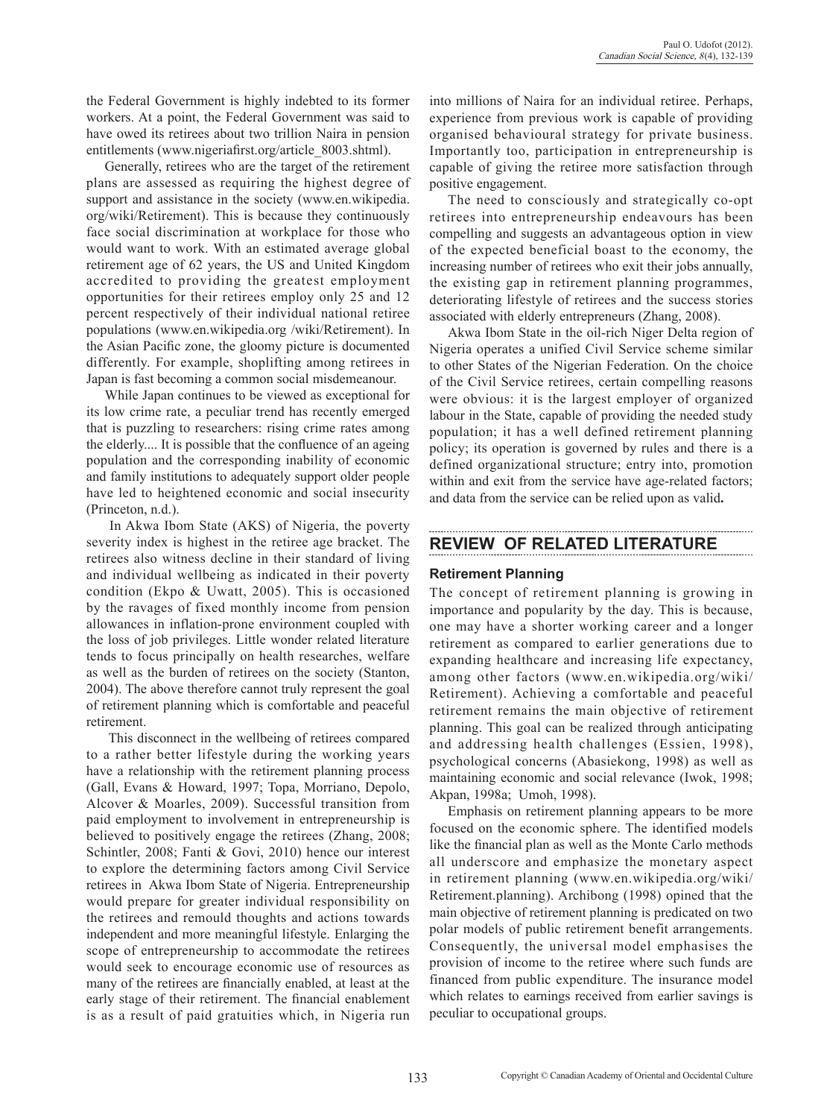. . . . . . . . . . . .

the Federal Government is highly indebted to its former workers. At a point, the Federal Government was said to have owed its retirees about two trillion Naira in pension entitlements (www.nigeriafirst.org/article\_8003.shtml).

Generally, retirees who are the target of the retirement plans are assessed as requiring the highest degree of support and assistance in the society (www.en.wikipedia. org/wiki/Retirement). This is because they continuously face social discrimination at workplace for those who would want to work. With an estimated average global retirement age of 62 years, the US and United Kingdom accredited to providing the greatest employment opportunities for their retirees employ only 25 and 12 percent respectively of their individual national retiree populations (www.en.wikipedia.org /wiki/Retirement). In the Asian Pacific zone, the gloomy picture is documented differently. For example, shoplifting among retirees in Japan is fast becoming a common social misdemeanour.

While Japan continues to be viewed as exceptional for its low crime rate, a peculiar trend has recently emerged that is puzzling to researchers: rising crime rates among the elderly.... It is possible that the confluence of an ageing population and the corresponding inability of economic and family institutions to adequately support older people have led to heightened economic and social insecurity (Princeton, n.d.).

 In Akwa Ibom State (AKS) of Nigeria, the poverty severity index is highest in the retiree age bracket. The retirees also witness decline in their standard of living and individual wellbeing as indicated in their poverty condition (Ekpo & Uwatt, 2005). This is occasioned by the ravages of fixed monthly income from pension allowances in inflation-prone environment coupled with the loss of job privileges. Little wonder related literature tends to focus principally on health researches, welfare as well as the burden of retirees on the society (Stanton, 2004). The above therefore cannot truly represent the goal of retirement planning which is comfortable and peaceful retirement.

 This disconnect in the wellbeing of retirees compared to a rather better lifestyle during the working years have a relationship with the retirement planning process (Gall, Evans & Howard, 1997; Topa, Morriano, Depolo, Alcover & Moarles, 2009). Successful transition from paid employment to involvement in entrepreneurship is believed to positively engage the retirees (Zhang, 2008; Schintler, 2008; Fanti & Govi, 2010) hence our interest to explore the determining factors among Civil Service retirees in Akwa Ibom State of Nigeria. Entrepreneurship would prepare for greater individual responsibility on the retirees and remould thoughts and actions towards independent and more meaningful lifestyle. Enlarging the scope of entrepreneurship to accommodate the retirees would seek to encourage economic use of resources as many of the retirees are financially enabled, at least at the early stage of their retirement. The financial enablement is as a result of paid gratuities which, in Nigeria run into millions of Naira for an individual retiree. Perhaps, experience from previous work is capable of providing organised behavioural strategy for private business. Importantly too, participation in entrepreneurship is capable of giving the retiree more satisfaction through positive engagement.

The need to consciously and strategically co-opt retirees into entrepreneurship endeavours has been compelling and suggests an advantageous option in view of the expected beneficial boast to the economy, the increasing number of retirees who exit their jobs annually, the existing gap in retirement planning programmes, deteriorating lifestyle of retirees and the success stories associated with elderly entrepreneurs (Zhang, 2008).

Akwa Ibom State in the oil-rich Niger Delta region of Nigeria operates a unified Civil Service scheme similar to other States of the Nigerian Federation. On the choice of the Civil Service retirees, certain compelling reasons were obvious: it is the largest employer of organized labour in the State, capable of providing the needed study population; it has a well defined retirement planning policy; its operation is governed by rules and there is a defined organizational structure; entry into, promotion within and exit from the service have age-related factors; and data from the service can be relied upon as valid**.**

# **REVIEW OF RELATED LITERATURE**

#### **Retirement Planning**

The concept of retirement planning is growing in importance and popularity by the day. This is because, one may have a shorter working career and a longer retirement as compared to earlier generations due to expanding healthcare and increasing life expectancy, among other factors (www.en.wikipedia.org/wiki/ Retirement). Achieving a comfortable and peaceful retirement remains the main objective of retirement planning. This goal can be realized through anticipating and addressing health challenges (Essien, 1998), psychological concerns (Abasiekong, 1998) as well as maintaining economic and social relevance (Iwok, 1998; Akpan, 1998a; Umoh, 1998).

Emphasis on retirement planning appears to be more focused on the economic sphere. The identified models like the financial plan as well as the Monte Carlo methods all underscore and emphasize the monetary aspect in retirement planning (www.en.wikipedia.org/wiki/ Retirement.planning). Archibong (1998) opined that the main objective of retirement planning is predicated on two polar models of public retirement benefit arrangements. Consequently, the universal model emphasises the provision of income to the retiree where such funds are financed from public expenditure. The insurance model which relates to earnings received from earlier savings is peculiar to occupational groups.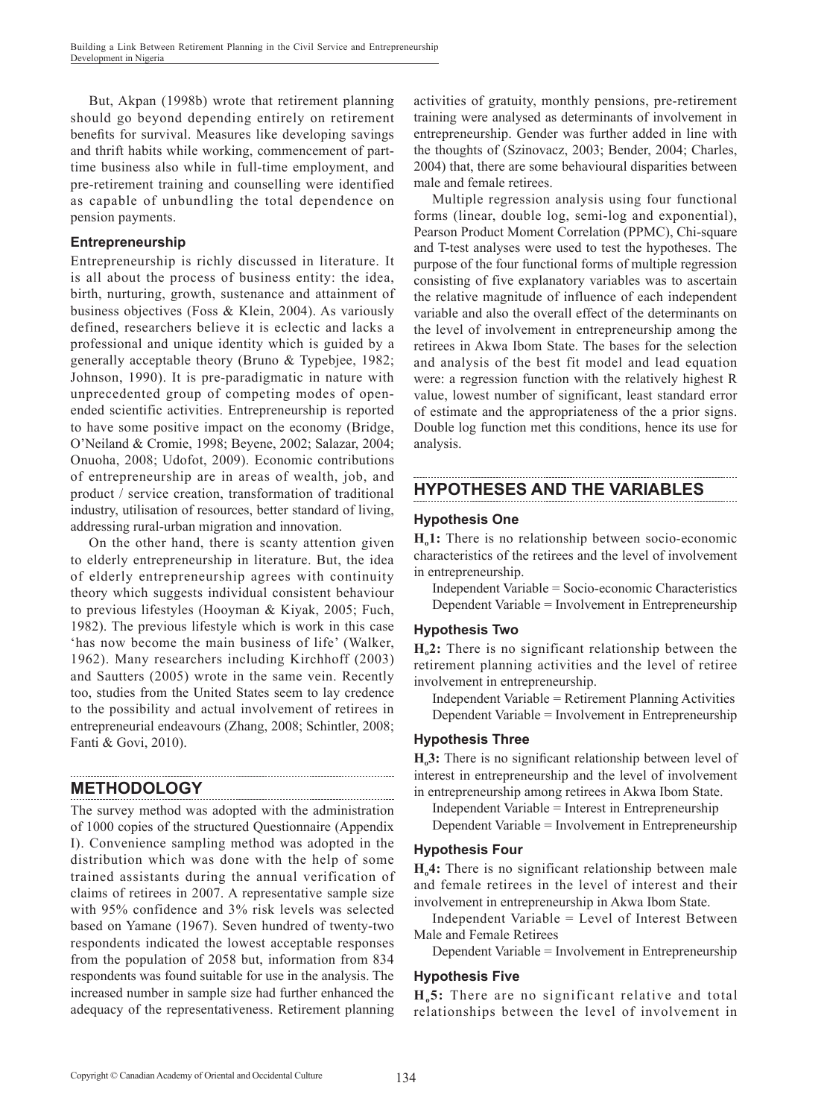But, Akpan (1998b) wrote that retirement planning should go beyond depending entirely on retirement benefits for survival. Measures like developing savings and thrift habits while working, commencement of parttime business also while in full-time employment, and pre-retirement training and counselling were identified as capable of unbundling the total dependence on pension payments.

#### **Entrepreneurship**

Entrepreneurship is richly discussed in literature. It is all about the process of business entity: the idea, birth, nurturing, growth, sustenance and attainment of business objectives (Foss & Klein, 2004). As variously defined, researchers believe it is eclectic and lacks a professional and unique identity which is guided by a generally acceptable theory (Bruno & Typebjee, 1982; Johnson, 1990). It is pre-paradigmatic in nature with unprecedented group of competing modes of openended scientific activities. Entrepreneurship is reported to have some positive impact on the economy (Bridge, O'Neiland & Cromie, 1998; Beyene, 2002; Salazar, 2004; Onuoha, 2008; Udofot, 2009). Economic contributions of entrepreneurship are in areas of wealth, job, and product / service creation, transformation of traditional industry, utilisation of resources, better standard of living, addressing rural-urban migration and innovation.

On the other hand, there is scanty attention given to elderly entrepreneurship in literature. But, the idea of elderly entrepreneurship agrees with continuity theory which suggests individual consistent behaviour to previous lifestyles (Hooyman & Kiyak, 2005; Fuch, 1982). The previous lifestyle which is work in this case 'has now become the main business of life' (Walker, 1962). Many researchers including Kirchhoff (2003) and Sautters (2005) wrote in the same vein. Recently too, studies from the United States seem to lay credence to the possibility and actual involvement of retirees in entrepreneurial endeavours (Zhang, 2008; Schintler, 2008; Fanti & Govi, 2010).

### **METHODOLOGY**

The survey method was adopted with the administration of 1000 copies of the structured Questionnaire (Appendix I). Convenience sampling method was adopted in the distribution which was done with the help of some trained assistants during the annual verification of claims of retirees in 2007. A representative sample size with 95% confidence and 3% risk levels was selected based on Yamane (1967). Seven hundred of twenty-two respondents indicated the lowest acceptable responses from the population of 2058 but, information from 834 respondents was found suitable for use in the analysis. The increased number in sample size had further enhanced the adequacy of the representativeness. Retirement planning

activities of gratuity, monthly pensions, pre-retirement training were analysed as determinants of involvement in entrepreneurship. Gender was further added in line with the thoughts of (Szinovacz, 2003; Bender, 2004; Charles, 2004) that, there are some behavioural disparities between male and female retirees.

Multiple regression analysis using four functional forms (linear, double log, semi-log and exponential), Pearson Product Moment Correlation (PPMC), Chi-square and T-test analyses were used to test the hypotheses. The purpose of the four functional forms of multiple regression consisting of five explanatory variables was to ascertain the relative magnitude of influence of each independent variable and also the overall effect of the determinants on the level of involvement in entrepreneurship among the retirees in Akwa Ibom State. The bases for the selection and analysis of the best fit model and lead equation were: a regression function with the relatively highest R value, lowest number of significant, least standard error of estimate and the appropriateness of the a prior signs. Double log function met this conditions, hence its use for analysis.

# **HYPOTHESES AND THE VARIABLES**

#### **Hypothesis One**

**Ho1:** There is no relationship between socio-economic characteristics of the retirees and the level of involvement in entrepreneurship.

Independent Variable = Socio-economic Characteristics Dependent Variable = Involvement in Entrepreneurship

#### **Hypothesis Two**

**Ho2:** There is no significant relationship between the retirement planning activities and the level of retiree involvement in entrepreneurship.

Independent Variable = Retirement Planning Activities Dependent Variable = Involvement in Entrepreneurship

#### **Hypothesis Three**

**Ho3:** There is no significant relationship between level of interest in entrepreneurship and the level of involvement in entrepreneurship among retirees in Akwa Ibom State.

Independent Variable = Interest in Entrepreneurship

Dependent Variable = Involvement in Entrepreneurship

#### **Hypothesis Four**

**Ho4:** There is no significant relationship between male and female retirees in the level of interest and their involvement in entrepreneurship in Akwa Ibom State.

Independent Variable = Level of Interest Between Male and Female Retirees

Dependent Variable = Involvement in Entrepreneurship

#### **Hypothesis Five**

**Ho5:** There are no significant relative and total relationships between the level of involvement in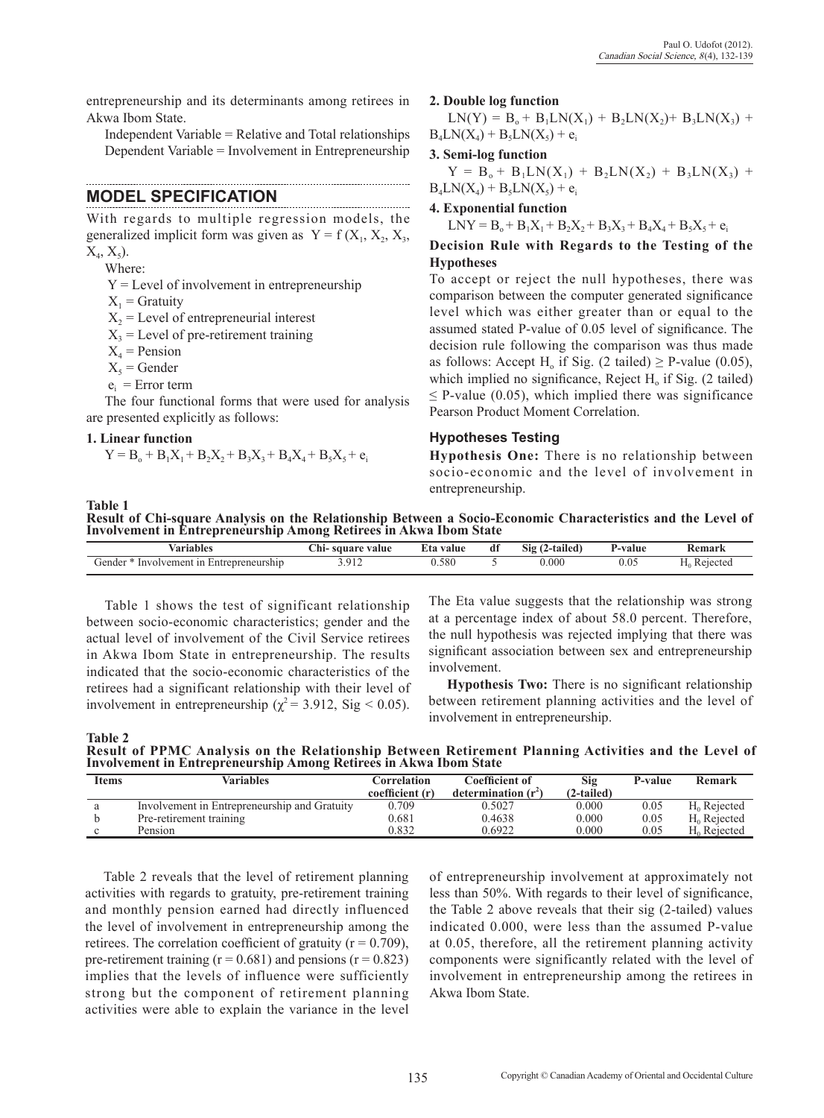entrepreneurship and its determinants among retirees in Akwa Ibom State.

Independent Variable = Relative and Total relationships Dependent Variable = Involvement in Entrepreneurship

### **MODEL SPECIFICATION**

With regards to multiple regression models, the generalized implicit form was given as  $Y = f(X_1, X_2, X_3, Y_4)$  $X_4, X_5$ ).

Where:

Y = Level of involvement in entrepreneurship

 $X_1$  = Gratuity

 $X<sub>2</sub>$  = Level of entrepreneurial interest

 $X_3$  = Level of pre-retirement training

 $X_4$  = Pension

 $X_5$  = Gender

 $e_i$  = Error term

The four functional forms that were used for analysis are presented explicitly as follows:

#### **1. Linear function**

$$
Y = B_o + B_1 X_1 + B_2 X_2 + B_3 X_3 + B_4 X_4 + B_5 X_5 + e_i
$$

#### **2. Double log function**

 $LN(Y) = B_0 + B_1LN(X_1) + B_2LN(X_2) + B_3LN(X_3) +$  $B_4LN(X_4) + B_5LN(X_5) + e_i$ 

#### **3. Semi-log function**

 $Y = B_0 + B_1LN(X_1) + B_2LN(X_2) + B_3LN(X_3) +$  $B_4LN(X_4) + B_5LN(X_5) + e_i$ 

**4. Exponential function**

 $LNY = B_0 + B_1X_1 + B_2X_2 + B_3X_3 + B_4X_4 + B_5X_5 + e_i$ 

**Decision Rule with Regards to the Testing of the Hypotheses**

To accept or reject the null hypotheses, there was comparison between the computer generated significance level which was either greater than or equal to the assumed stated P-value of 0.05 level of significance. The decision rule following the comparison was thus made as follows: Accept H<sub>a</sub> if Sig. (2 tailed)  $\geq$  P-value (0.05), which implied no significance, Reject  $H<sub>o</sub>$  if Sig. (2 tailed)  $\leq$  P-value (0.05), which implied there was significance Pearson Product Moment Correlation.

#### **Hypotheses Testing**

**Hypothesis One:** There is no relationship between socio-economic and the level of involvement in entrepreneurship.

**Table 1 Result of Chi-square Analysis on the Relationship Between a Socio-Economic Characteristics and the Level of Involvement in Entrepreneurship Among Retirees in Akwa Ibom State**

| Variables                                           | $\sim$<br>square<br>: value<br>. ni- | -value<br>Eta | dì | $\bullet\bullet$<br>$\sim$ .<br>812<br>'-tailed.<br>$\sqrt{2}$ | -value | *emark    |
|-----------------------------------------------------|--------------------------------------|---------------|----|----------------------------------------------------------------|--------|-----------|
| Gender<br>. Involvement<br>. Entrepreneurship<br>1n | ີ<br>.                               | .580          |    | $0.000\,$                                                      | U.UJ   | eiectea." |

Table 1 shows the test of significant relationship between socio-economic characteristics; gender and the actual level of involvement of the Civil Service retirees in Akwa Ibom State in entrepreneurship. The results indicated that the socio-economic characteristics of the retirees had a significant relationship with their level of involvement in entrepreneurship ( $\chi^2$  = 3.912, Sig < 0.05). The Eta value suggests that the relationship was strong at a percentage index of about 58.0 percent. Therefore, the null hypothesis was rejected implying that there was significant association between sex and entrepreneurship involvement.

**Hypothesis Two:** There is no significant relationship between retirement planning activities and the level of involvement in entrepreneurship.

**Table 2 Result of PPMC Analysis on the Relationship Between Retirement Planning Activities and the Level of Involvement in Entrepreneurship Among Retirees in Akwa Ibom State**

| Items | <b>Variables</b>                             | Correlation     | Coefficient of        | Sig        | P-value | Remark                  |
|-------|----------------------------------------------|-----------------|-----------------------|------------|---------|-------------------------|
|       |                                              | coefficient (r) | determination $(r^2)$ | (2-tailed) |         |                         |
| а     | Involvement in Entrepreneurship and Gratuity | 0.709           | 0.5027                | 0.000      | 0.05    | $H_0$ Rejected          |
|       | Pre-retirement training                      | 0.681           | 0.4638                | 0.000      | 0.05    | $H_0$ Rejected          |
|       | Pension                                      | 0.832           | 0.6922                | 0.000      | 0.05    | H <sub>0</sub> Rejected |

Table 2 reveals that the level of retirement planning activities with regards to gratuity, pre-retirement training and monthly pension earned had directly influenced the level of involvement in entrepreneurship among the retirees. The correlation coefficient of gratuity ( $r = 0.709$ ), pre-retirement training ( $r = 0.681$ ) and pensions ( $r = 0.823$ ) implies that the levels of influence were sufficiently strong but the component of retirement planning activities were able to explain the variance in the level

of entrepreneurship involvement at approximately not less than 50%. With regards to their level of significance, the Table 2 above reveals that their sig (2-tailed) values indicated 0.000, were less than the assumed P-value at 0.05, therefore, all the retirement planning activity components were significantly related with the level of involvement in entrepreneurship among the retirees in Akwa Ibom State.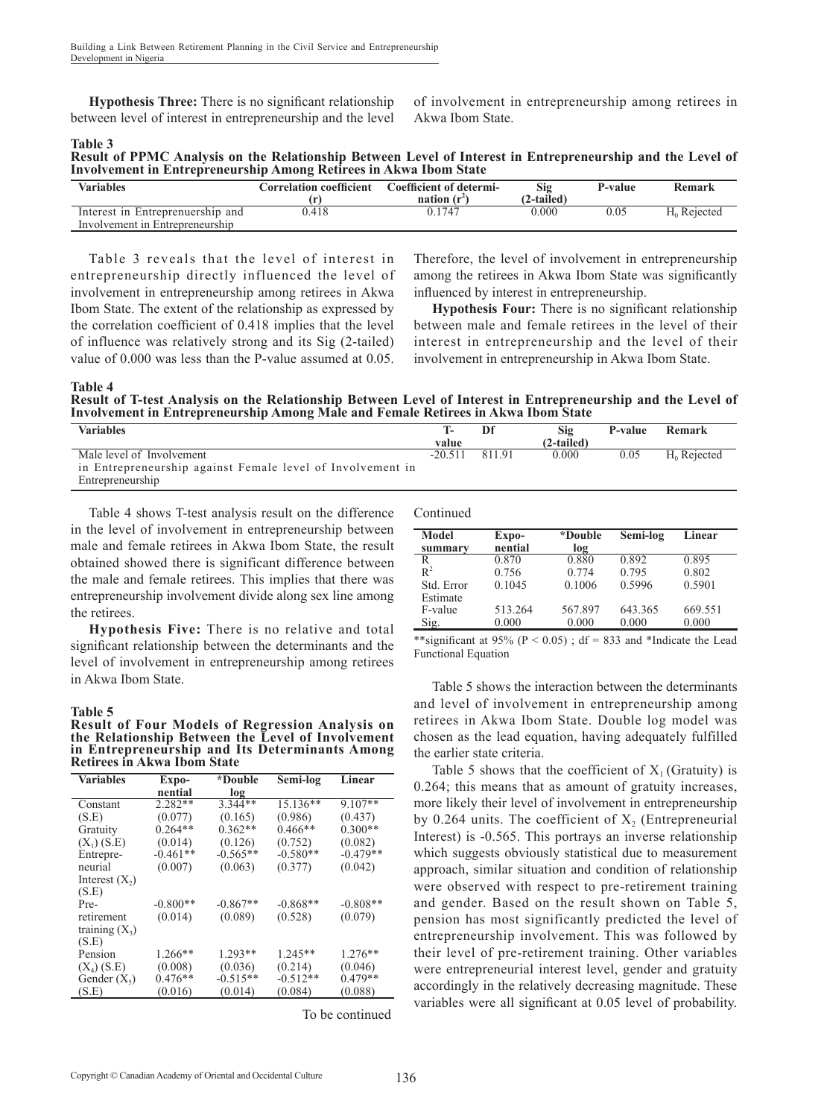**Hypothesis Three:** There is no significant relationship between level of interest in entrepreneurship and the level of involvement in entrepreneurship among retirees in Akwa Ibom State.

**Table 3**

| Result of PPMC Analysis on the Relationship Between Level of Interest in Entrepreneurship and the Level of |  |  |
|------------------------------------------------------------------------------------------------------------|--|--|
| <b>Involvement in Entrepreneurship Among Retirees in Akwa Ibom State</b>                                   |  |  |

| <b>Variables</b>                 | Correlation coefficient | Coefficient of determi-<br>nation (r <sup>2</sup> | Sig<br>(2-tailed) | P-value | Remark         |
|----------------------------------|-------------------------|---------------------------------------------------|-------------------|---------|----------------|
| Interest in Entreprenuership and | 0.418                   | 0 1 7 4 7                                         | 0.000             | 9.05    | $H_0$ Rejected |
| Involvement in Entrepreneurship  |                         |                                                   |                   |         |                |

Table 3 reveals that the level of interest in entrepreneurship directly influenced the level of involvement in entrepreneurship among retirees in Akwa Ibom State. The extent of the relationship as expressed by the correlation coefficient of 0.418 implies that the level of influence was relatively strong and its Sig (2-tailed) value of 0.000 was less than the P-value assumed at 0.05.

Therefore, the level of involvement in entrepreneurship among the retirees in Akwa Ibom State was significantly influenced by interest in entrepreneurship.

**Hypothesis Four:** There is no significant relationship between male and female retirees in the level of their interest in entrepreneurship and the level of their involvement in entrepreneurship in Akwa Ibom State.

**Table 4 Result of T-test Analysis on the Relationship Between Level of Interest in Entrepreneurship and the Level of Involvement in Entrepreneurship Among Male and Female Retirees in Akwa Ibom State**

| <b>Variables</b>                                           |           |        | Sig        | P-value | Remark         |
|------------------------------------------------------------|-----------|--------|------------|---------|----------------|
|                                                            | value     |        | (2-tailed) |         |                |
| Male level of Involvement                                  | $-20.511$ | 811.91 | 0.000      | 0.05    | $H_0$ Rejected |
| in Entrepreneurship against Female level of Involvement in |           |        |            |         |                |
| Entrepreneurship                                           |           |        |            |         |                |

Table 4 shows T-test analysis result on the difference in the level of involvement in entrepreneurship between male and female retirees in Akwa Ibom State, the result obtained showed there is significant difference between the male and female retirees. This implies that there was entrepreneurship involvement divide along sex line among the retirees.

**Hypothesis Five:** There is no relative and total significant relationship between the determinants and the level of involvement in entrepreneurship among retirees in Akwa Ibom State.

#### **Table 5**

**Result of Four Models of Regression Analysis on the Relationship Between the Level of Involvement in Entrepreneurship and Its Determinants Among Retirees in Akwa Ibom State**

| <b>Variables</b> | Expo-      | *Double    | Semi-log   | Linear     |
|------------------|------------|------------|------------|------------|
|                  | nential    | log        |            |            |
| Constant         | 2.282**    | $3.344**$  | $15.136**$ | $9.107**$  |
| (S.E)            | (0.077)    | (0.165)    | (0.986)    | (0.437)    |
| Gratuity         | $0.264**$  | $0.362**$  | $0.466**$  | $0.300**$  |
| $(X_1)$ (S.E)    | (0.014)    | (0.126)    | (0.752)    | (0.082)    |
| Entrepre-        | $-0.461**$ | $-0.565**$ | $-0.580**$ | $-0.479**$ |
| neurial          | (0.007)    | (0.063)    | (0.377)    | (0.042)    |
| Interest $(X_2)$ |            |            |            |            |
| (S.E)            |            |            |            |            |
| Pre-             | $-0.800**$ | $-0.867**$ | $-0.868**$ | $-0.808**$ |
| retirement       | (0.014)    | (0.089)    | (0.528)    | (0.079)    |
| training $(X_3)$ |            |            |            |            |
| (S.E)            |            |            |            |            |
| Pension          | $1.266**$  | $1.293**$  | $1.245**$  | $1.276**$  |
| $(X_4)$ (S.E)    | (0.008)    | (0.036)    | (0.214)    | (0.046)    |
| Gender $(X_5)$   | $0.476**$  | $-0.515**$ | $-0.512**$ | $0.479**$  |
| (S.E)            | (0.016)    | (0.014)    | (0.084)    | (0.088)    |

To be continued

Continued

| Model      | Expo-   | *Double | Semi-log | Linear  |
|------------|---------|---------|----------|---------|
| summary    | nential | log     |          |         |
| R          | 0.870   | 0.880   | 0.892    | 0.895   |
| $R^2$      | 0.756   | 0.774   | 0.795    | 0.802   |
| Std. Error | 0.1045  | 0.1006  | 0.5996   | 0.5901  |
| Estimate   |         |         |          |         |
| F-value    | 513.264 | 567.897 | 643.365  | 669.551 |
| Sig.       | 0.000   | 0.000   | 0.000    | 0.000   |

\*\*significant at 95% ( $P < 0.05$ ); df = 833 and \*Indicate the Lead Functional Equation

Table 5 shows the interaction between the determinants and level of involvement in entrepreneurship among retirees in Akwa Ibom State. Double log model was chosen as the lead equation, having adequately fulfilled the earlier state criteria.

Table 5 shows that the coefficient of  $X_1$  (Gratuity) is 0.264; this means that as amount of gratuity increases, more likely their level of involvement in entrepreneurship by  $0.264$  units. The coefficient of  $X<sub>2</sub>$  (Entrepreneurial Interest) is -0.565. This portrays an inverse relationship which suggests obviously statistical due to measurement approach, similar situation and condition of relationship were observed with respect to pre-retirement training and gender. Based on the result shown on Table 5, pension has most significantly predicted the level of entrepreneurship involvement. This was followed by their level of pre-retirement training. Other variables were entrepreneurial interest level, gender and gratuity accordingly in the relatively decreasing magnitude. These variables were all significant at 0.05 level of probability.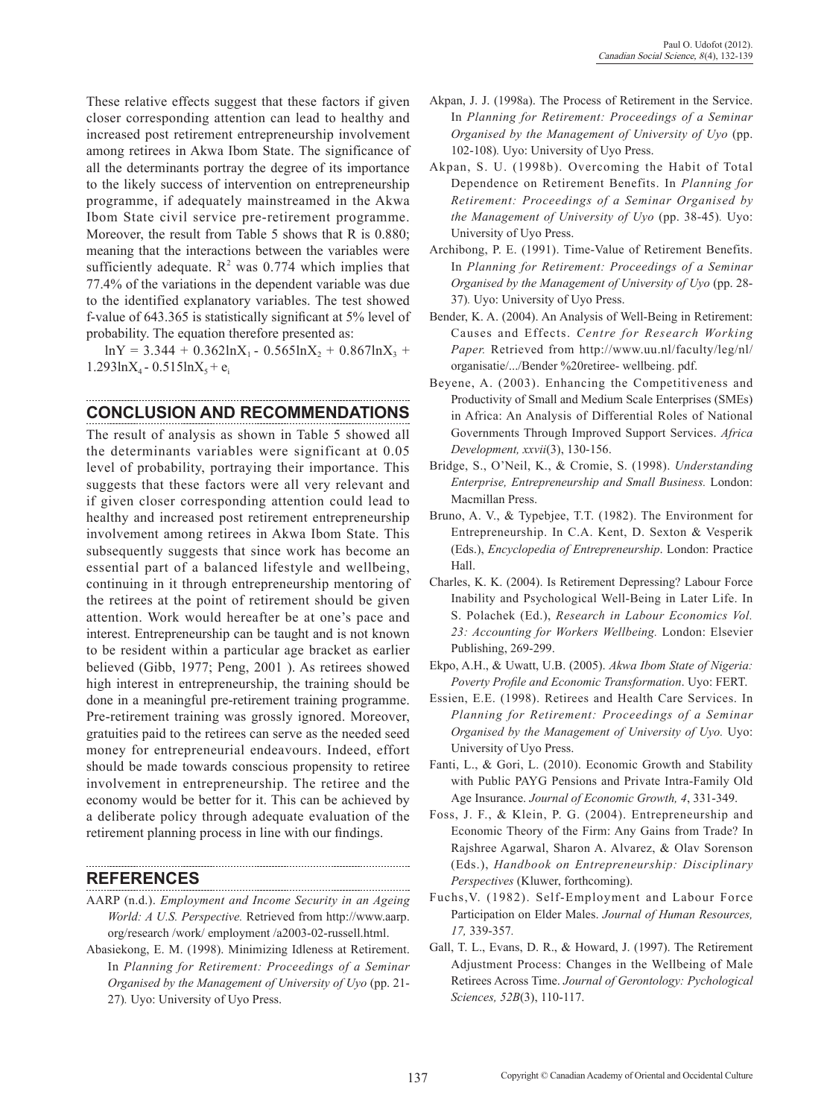These relative effects suggest that these factors if given closer corresponding attention can lead to healthy and increased post retirement entrepreneurship involvement among retirees in Akwa Ibom State. The significance of all the determinants portray the degree of its importance to the likely success of intervention on entrepreneurship programme, if adequately mainstreamed in the Akwa Ibom State civil service pre-retirement programme. Moreover, the result from Table 5 shows that R is 0.880; meaning that the interactions between the variables were sufficiently adequate.  $R^2$  was 0.774 which implies that 77.4% of the variations in the dependent variable was due to the identified explanatory variables. The test showed f-value of 643.365 is statistically significant at 5% level of probability. The equation therefore presented as:

 $lnY = 3.344 + 0.362lnX_1 - 0.565lnX_2 + 0.867lnX_3 +$  $1.293 \text{ln}X_4 - 0.515 \text{ln}X_5 + e_i$ 

#### **CONCLUSION AND RECOMMENDATIONS**

The result of analysis as shown in Table 5 showed all the determinants variables were significant at 0.05 level of probability, portraying their importance. This suggests that these factors were all very relevant and if given closer corresponding attention could lead to healthy and increased post retirement entrepreneurship involvement among retirees in Akwa Ibom State. This subsequently suggests that since work has become an essential part of a balanced lifestyle and wellbeing, continuing in it through entrepreneurship mentoring of the retirees at the point of retirement should be given attention. Work would hereafter be at one's pace and interest. Entrepreneurship can be taught and is not known to be resident within a particular age bracket as earlier believed (Gibb, 1977; Peng, 2001 ). As retirees showed high interest in entrepreneurship, the training should be done in a meaningful pre-retirement training programme. Pre-retirement training was grossly ignored. Moreover, gratuities paid to the retirees can serve as the needed seed money for entrepreneurial endeavours. Indeed, effort should be made towards conscious propensity to retiree involvement in entrepreneurship. The retiree and the economy would be better for it. This can be achieved by a deliberate policy through adequate evaluation of the retirement planning process in line with our findings.

## **REFERENCES**

- AARP (n.d.). *Employment and Income Security in an Ageing World: A U.S. Perspective.* Retrieved from http://www.aarp. org/research /work/ employment /a2003-02-russell.html.
- Abasiekong, E. M. (1998). Minimizing Idleness at Retirement. In *Planning for Retirement: Proceedings of a Seminar Organised by the Management of University of Uyo* (pp. 21- 27)*.* Uyo: University of Uyo Press.
- Akpan, J. J. (1998a). The Process of Retirement in the Service. In *Planning for Retirement: Proceedings of a Seminar Organised by the Management of University of Uyo* (pp. 102-108)*.* Uyo: University of Uyo Press.
- Akpan, S. U. (1998b). Overcoming the Habit of Total Dependence on Retirement Benefits. In *Planning for Retirement: Proceedings of a Seminar Organised by the Management of University of Uyo* (pp. 38-45)*.* Uyo: University of Uyo Press.
- Archibong, P. E. (1991). Time-Value of Retirement Benefits. In *Planning for Retirement: Proceedings of a Seminar Organised by the Management of University of Uyo* (pp. 28- 37)*.* Uyo: University of Uyo Press.
- Bender, K. A. (2004). An Analysis of Well-Being in Retirement: Causes and Effects. *Centre for Research Working Paper.* Retrieved from http://www.uu.nl/faculty/leg/nl/ organisatie/.../Bender %20retiree- wellbeing. pdf.
- Beyene, A. (2003). Enhancing the Competitiveness and Productivity of Small and Medium Scale Enterprises (SMEs) in Africa: An Analysis of Differential Roles of National Governments Through Improved Support Services. *Africa Development, xxvii*(3), 130-156.
- Bridge, S., O'Neil, K., & Cromie, S. (1998). *Understanding Enterprise, Entrepreneurship and Small Business.* London: Macmillan Press.
- Bruno, A. V., & Typebjee, T.T. (1982). The Environment for Entrepreneurship. In C.A. Kent, D. Sexton & Vesperik (Eds.), *Encyclopedia of Entrepreneurship*. London: Practice Hall.
- Charles, K. K. (2004). Is Retirement Depressing? Labour Force Inability and Psychological Well-Being in Later Life. In S. Polachek (Ed.), *Research in Labour Economics Vol. 23: Accounting for Workers Wellbeing.* London: Elsevier Publishing, 269-299.
- Ekpo, A.H., & Uwatt, U.B. (2005). *Akwa Ibom State of Nigeria: Poverty Profile and Economic Transformation*. Uyo: FERT.
- Essien, E.E. (1998). Retirees and Health Care Services. In *Planning for Retirement: Proceedings of a Seminar Organised by the Management of University of Uyo.* Uyo: University of Uyo Press.
- Fanti, L., & Gori, L. (2010). Economic Growth and Stability with Public PAYG Pensions and Private Intra-Family Old Age Insurance. *Journal of Economic Growth, 4*, 331-349.
- Foss, J. F., & Klein, P. G. (2004). Entrepreneurship and Economic Theory of the Firm: Any Gains from Trade? In Rajshree Agarwal, Sharon A. Alvarez, & Olav Sorenson (Eds.), *Handbook on Entrepreneurship: Disciplinary Perspectives* (Kluwer, forthcoming).
- Fuchs,V. (1982). Self-Employment and Labour Force Participation on Elder Males. *Journal of Human Resources, 17,* 339-357*.*
- Gall, T. L., Evans, D. R., & Howard, J. (1997). The Retirement Adjustment Process: Changes in the Wellbeing of Male Retirees Across Time. *Journal of Gerontology: Pychological Sciences, 52B*(3), 110-117.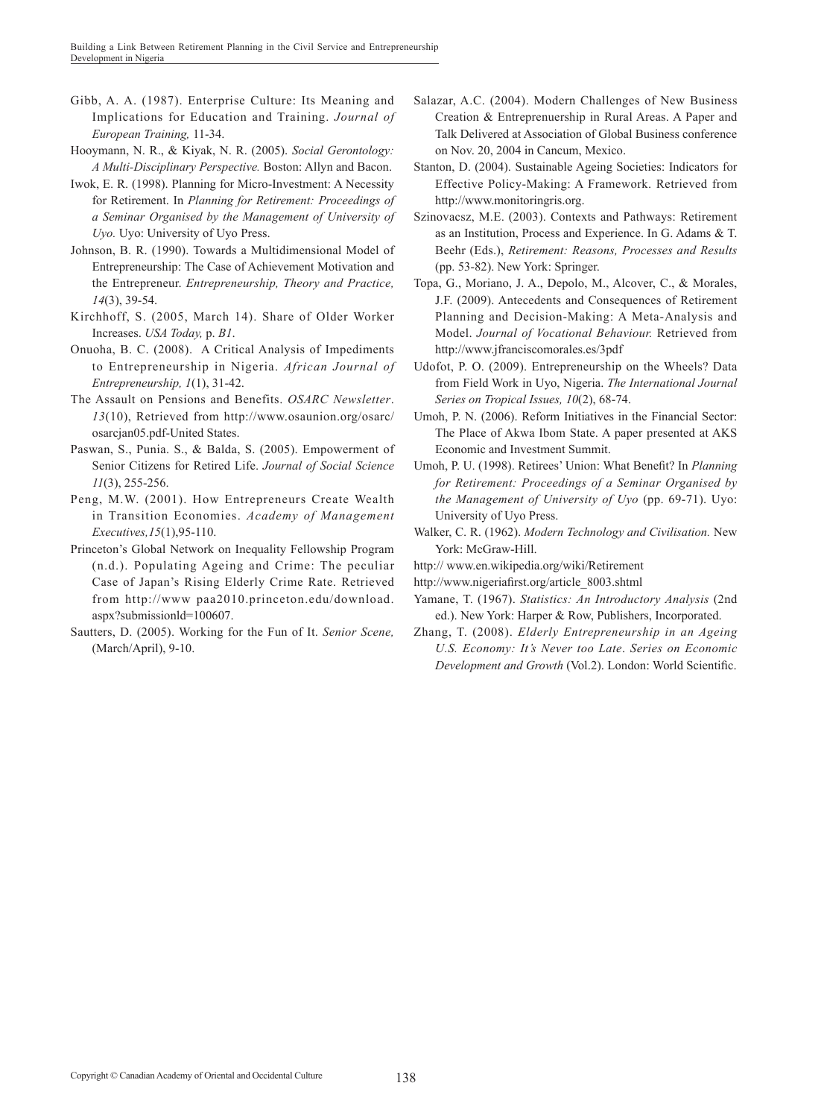- Gibb, A. A. (1987). Enterprise Culture: Its Meaning and Implications for Education and Training. *Journal of European Training,* 11-34.
- Hooymann, N. R., & Kiyak, N. R. (2005). *Social Gerontology: A Multi-Disciplinary Perspective.* Boston: Allyn and Bacon.
- Iwok, E. R. (1998). Planning for Micro-Investment: A Necessity for Retirement. In *Planning for Retirement: Proceedings of a Seminar Organised by the Management of University of Uyo.* Uyo: University of Uyo Press.
- Johnson, B. R. (1990). Towards a Multidimensional Model of Entrepreneurship: The Case of Achievement Motivation and the Entrepreneur. *Entrepreneurship, Theory and Practice, 14*(3), 39-54.
- Kirchhoff, S. (2005, March 14). Share of Older Worker Increases. *USA Today,* p. *B1*.
- Onuoha, B. C. (2008). A Critical Analysis of Impediments to Entrepreneurship in Nigeria. *African Journal of Entrepreneurship, 1*(1), 31-42.
- The Assault on Pensions and Benefits. *OSARC Newsletter*. *13*(10), Retrieved from http://www.osaunion.org/osarc/ osarcjan05.pdf-United States.
- Paswan, S., Punia. S., & Balda, S. (2005). Empowerment of Senior Citizens for Retired Life. *Journal of Social Science 11*(3), 255-256.
- Peng, M.W. (2001). How Entrepreneurs Create Wealth in Transition Economies. *Academy of Management Executives,15*(1),95-110.
- Princeton's Global Network on Inequality Fellowship Program (n.d.). Populating Ageing and Crime: The peculiar Case of Japan's Rising Elderly Crime Rate. Retrieved from http://www paa2010.princeton.edu/download. aspx?submissionld=100607.
- Sautters, D. (2005). Working for the Fun of It. *Senior Scene,*  (March/April), 9-10.
- Salazar, A.C. (2004). Modern Challenges of New Business Creation & Entreprenuership in Rural Areas. A Paper and Talk Delivered at Association of Global Business conference on Nov. 20, 2004 in Cancum, Mexico.
- Stanton, D. (2004). Sustainable Ageing Societies: Indicators for Effective Policy-Making: A Framework. Retrieved from http://www.monitoringris.org.
- Szinovacsz, M.E. (2003). Contexts and Pathways: Retirement as an Institution, Process and Experience. In G. Adams & T. Beehr (Eds.), *Retirement: Reasons, Processes and Results*  (pp. 53-82). New York: Springer.
- Topa, G., Moriano, J. A., Depolo, M., Alcover, C., & Morales, J.F. (2009). Antecedents and Consequences of Retirement Planning and Decision-Making: A Meta-Analysis and Model. *Journal of Vocational Behaviour.* Retrieved from http://www.jfranciscomorales.es/3pdf
- Udofot, P. O. (2009). Entrepreneurship on the Wheels? Data from Field Work in Uyo, Nigeria. *The International Journal Series on Tropical Issues, 10*(2), 68-74.
- Umoh, P. N. (2006). Reform Initiatives in the Financial Sector: The Place of Akwa Ibom State. A paper presented at AKS Economic and Investment Summit.
- Umoh, P. U. (1998). Retirees' Union: What Benefit? In *Planning for Retirement: Proceedings of a Seminar Organised by the Management of University of Uyo* (pp. 69-71). Uyo: University of Uyo Press.
- Walker, C. R. (1962). *Modern Technology and Civilisation.* New York: McGraw-Hill.
- http:// www.en.wikipedia.org/wiki/Retirement
- http://www.nigeriafirst.org/article\_8003.shtml
- Yamane, T. (1967). *Statistics: An Introductory Analysis* (2nd ed.). New York: Harper & Row, Publishers, Incorporated.
- Zhang, T. (2008). *Elderly Entrepreneurship in an Ageing U.S. Economy: It's Never too Late*. *Series on Economic Development and Growth* (Vol.2). London: World Scientific.